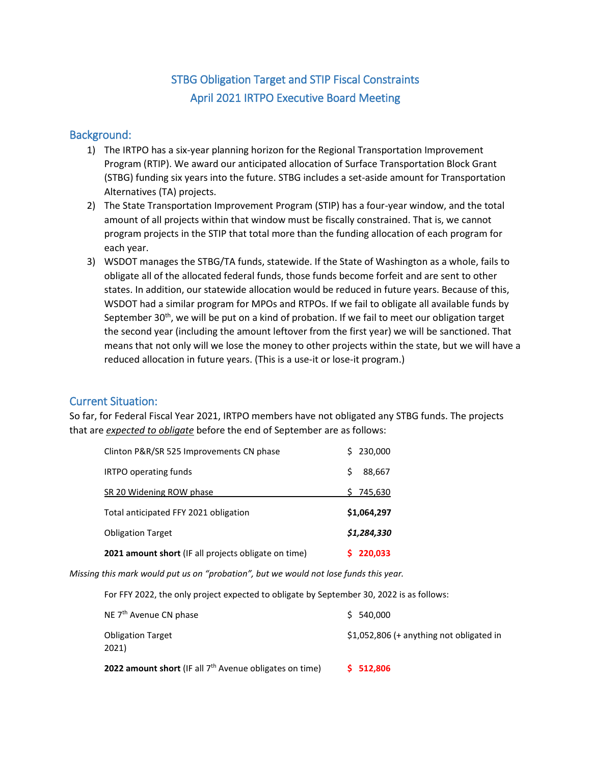# STBG Obligation Target and STIP Fiscal Constraints April 2021 IRTPO Executive Board Meeting

## Background:

- 1) The IRTPO has a six-year planning horizon for the Regional Transportation Improvement Program (RTIP). We award our anticipated allocation of Surface Transportation Block Grant (STBG) funding six years into the future. STBG includes a set-aside amount for Transportation Alternatives (TA) projects.
- 2) The State Transportation Improvement Program (STIP) has a four-year window, and the total amount of all projects within that window must be fiscally constrained. That is, we cannot program projects in the STIP that total more than the funding allocation of each program for each year.
- 3) WSDOT manages the STBG/TA funds, statewide. If the State of Washington as a whole, fails to obligate all of the allocated federal funds, those funds become forfeit and are sent to other states. In addition, our statewide allocation would be reduced in future years. Because of this, WSDOT had a similar program for MPOs and RTPOs. If we fail to obligate all available funds by September 30<sup>th</sup>, we will be put on a kind of probation. If we fail to meet our obligation target the second year (including the amount leftover from the first year) we will be sanctioned. That means that not only will we lose the money to other projects within the state, but we will have a reduced allocation in future years. (This is a use-it or lose-it program.)

## Current Situation:

So far, for Federal Fiscal Year 2021, IRTPO members have not obligated any STBG funds. The projects that are *expected to obligate* before the end of September are as follows:

| 2021 amount short (IF all projects obligate on time) | \$220,033   |
|------------------------------------------------------|-------------|
| <b>Obligation Target</b>                             | \$1,284,330 |
| Total anticipated FFY 2021 obligation                | \$1,064,297 |
| SR 20 Widening ROW phase                             | \$745,630   |
| <b>IRTPO operating funds</b>                         | Ś<br>88,667 |
| Clinton P&R/SR 525 Improvements CN phase             | \$230,000   |

*Missing this mark would put us on "probation", but we would not lose funds this year.* 

For FFY 2022, the only project expected to obligate by September 30, 2022 is as follows:

| <b>2022 amount short</b> (IF all $7th$ Avenue obligates on time) | \$512,806                                 |
|------------------------------------------------------------------|-------------------------------------------|
| <b>Obligation Target</b><br>2021)                                | $$1,052,806$ (+ anything not obligated in |
| NE 7 <sup>th</sup> Avenue CN phase                               | \$540,000                                 |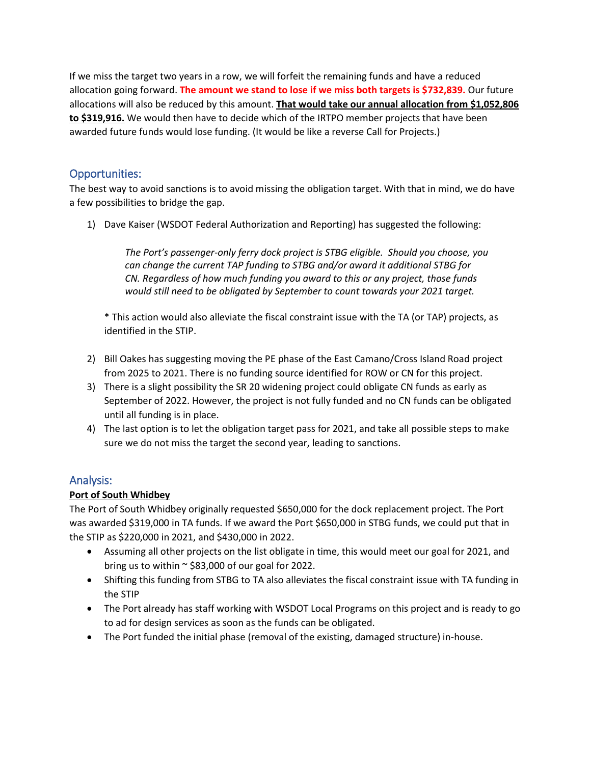If we miss the target two years in a row, we will forfeit the remaining funds and have a reduced allocation going forward. **The amount we stand to lose if we miss both targets is \$732,839.** Our future allocations will also be reduced by this amount. **That would take our annual allocation from \$1,052,806 to \$319,916.** We would then have to decide which of the IRTPO member projects that have been awarded future funds would lose funding. (It would be like a reverse Call for Projects.)

# Opportunities:

The best way to avoid sanctions is to avoid missing the obligation target. With that in mind, we do have a few possibilities to bridge the gap.

1) Dave Kaiser (WSDOT Federal Authorization and Reporting) has suggested the following:

*The Port's passenger-only ferry dock project is STBG eligible. Should you choose, you can change the current TAP funding to STBG and/or award it additional STBG for CN. Regardless of how much funding you award to this or any project, those funds would still need to be obligated by September to count towards your 2021 target.*

\* This action would also alleviate the fiscal constraint issue with the TA (or TAP) projects, as identified in the STIP.

- 2) Bill Oakes has suggesting moving the PE phase of the East Camano/Cross Island Road project from 2025 to 2021. There is no funding source identified for ROW or CN for this project.
- 3) There is a slight possibility the SR 20 widening project could obligate CN funds as early as September of 2022. However, the project is not fully funded and no CN funds can be obligated until all funding is in place.
- 4) The last option is to let the obligation target pass for 2021, and take all possible steps to make sure we do not miss the target the second year, leading to sanctions.

## Analysis:

### **Port of South Whidbey**

The Port of South Whidbey originally requested \$650,000 for the dock replacement project. The Port was awarded \$319,000 in TA funds. If we award the Port \$650,000 in STBG funds, we could put that in the STIP as \$220,000 in 2021, and \$430,000 in 2022.

- Assuming all other projects on the list obligate in time, this would meet our goal for 2021, and bring us to within  $\sim$  \$83,000 of our goal for 2022.
- Shifting this funding from STBG to TA also alleviates the fiscal constraint issue with TA funding in the STIP
- The Port already has staff working with WSDOT Local Programs on this project and is ready to go to ad for design services as soon as the funds can be obligated.
- The Port funded the initial phase (removal of the existing, damaged structure) in-house.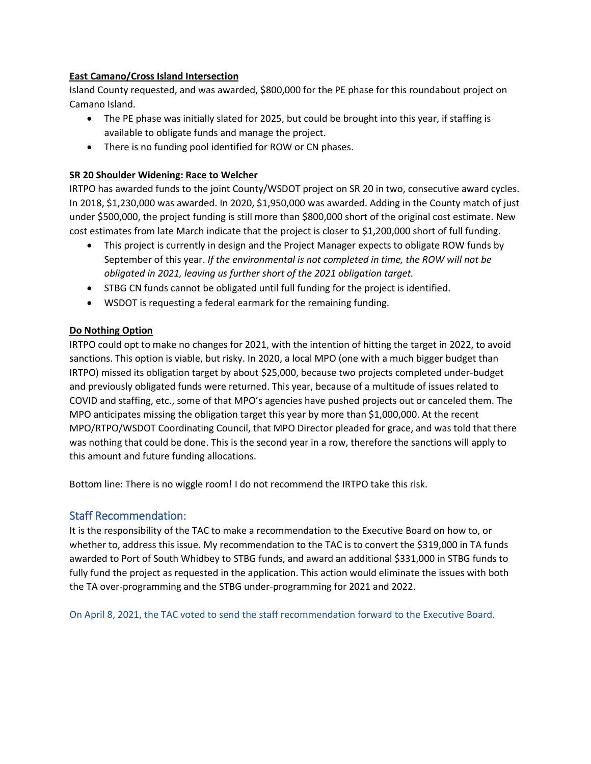#### **East Camano/Cross Island Intersection**

Island County requested, and was awarded, \$800,000 for the PE phase for this roundabout project on Camano Island.

- The PE phase was initially slated for 2025, but could be brought into this year, if staffing is available to obligate funds and manage the project.
- There is no funding pool identified for ROW or CN phases.

### **SR 20 Shoulder Widening: Race to Welcher**

IRTPO has awarded funds to the joint County/WSDOT project on SR 20 in two, consecutive award cycles. In 2018, \$1,230,000 was awarded. In 2020, \$1,950,000 was awarded. Adding in the County match of just under \$500,000, the project funding is still more than \$800,000 short of the original cost estimate. New cost estimates from late March indicate that the project is closer to \$1,200,000 short of full funding.

- This project is currently in design and the Project Manager expects to obligate ROW funds by September of this year. *If the environmental is not completed in time, the ROW will not be obligated in 2021, leaving us further short of the 2021 obligation target.*
- STBG CN funds cannot be obligated until full funding for the project is identified.
- WSDOT is requesting a federal earmark for the remaining funding.

#### **Do Nothing Option**

IRTPO could opt to make no changes for 2021, with the intention of hitting the target in 2022, to avoid sanctions. This option is viable, but risky. In 2020, a local MPO (one with a much bigger budget than IRTPO) missed its obligation target by about \$25,000, because two projects completed under-budget and previously obligated funds were returned. This year, because of a multitude of issues related to COVID and staffing, etc., some of that MPO's agencies have pushed projects out or canceled them. The MPO anticipates missing the obligation target this year by more than \$1,000,000. At the recent MPO/RTPO/WSDOT Coordinating Council, that MPO Director pleaded for grace, and was told that there was nothing that could be done. This is the second year in a row, therefore the sanctions will apply to this amount and future funding allocations.

Bottom line: There is no wiggle room! I do not recommend the IRTPO take this risk.

## Staff Recommendation:

It is the responsibility of the TAC to make a recommendation to the Executive Board on how to, or whether to, address this issue. My recommendation to the TAC is to convert the \$319,000 in TA funds awarded to Port of South Whidbey to STBG funds, and award an additional \$331,000 in STBG funds to fully fund the project as requested in the application. This action would eliminate the issues with both the TA over-programming and the STBG under-programming for 2021 and 2022.

On April 8, 2021, the TAC voted to send the staff recommendation forward to the Executive Board.